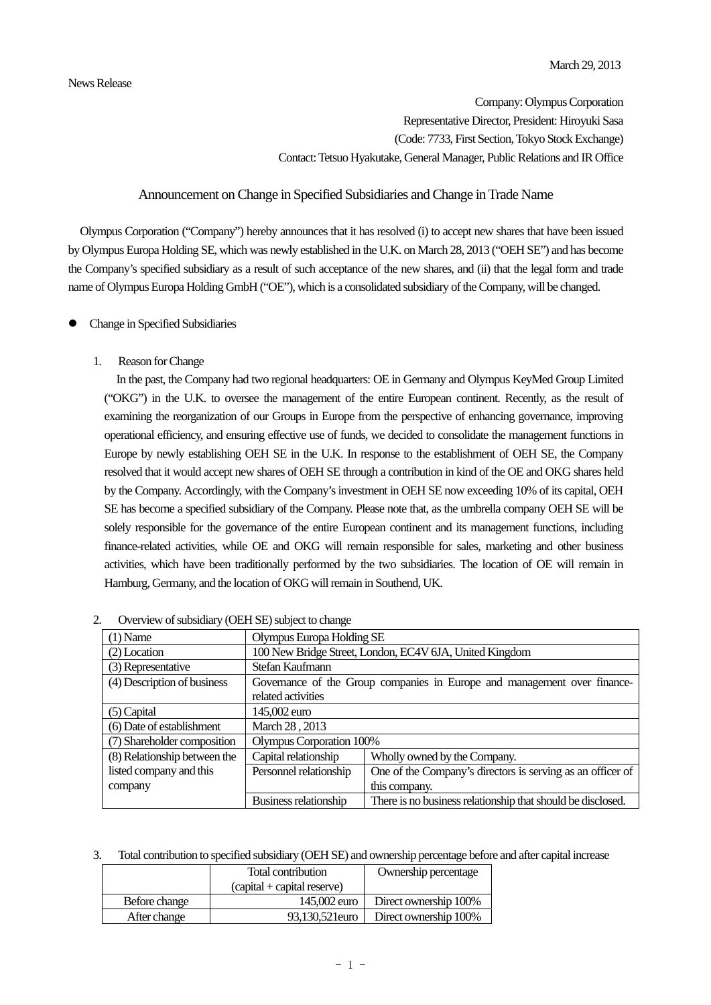Company: Olympus Corporation Representative Director, President: Hiroyuki Sasa (Code: 7733, First Section, Tokyo Stock Exchange) Contact: Tetsuo Hyakutake, General Manager, Public Relations and IR Office

# Announcement on Change in Specified Subsidiaries and Change in Trade Name

Olympus Corporation ("Company") hereby announces that it has resolved (i) to accept new shares that have been issued by Olympus Europa Holding SE, which was newly established in the U.K. on March 28, 2013 ("OEH SE") and has become the Company's specified subsidiary as a result of such acceptance of the new shares, and (ii) that the legal form and trade name of Olympus Europa Holding GmbH ("OE"), which is a consolidated subsidiary of the Company, will be changed.

- Change in Specified Subsidiaries
	- 1. Reason for Change

In the past, the Company had two regional headquarters: OE in Germany and Olympus KeyMed Group Limited ("OKG") in the U.K. to oversee the management of the entire European continent. Recently, as the result of examining the reorganization of our Groups in Europe from the perspective of enhancing governance, improving operational efficiency, and ensuring effective use of funds, we decided to consolidate the management functions in Europe by newly establishing OEH SE in the U.K. In response to the establishment of OEH SE, the Company resolved that it would accept new shares of OEH SE through a contribution in kind of the OE and OKG shares held by the Company. Accordingly, with the Company's investment in OEH SE now exceeding 10% of its capital, OEH SE has become a specified subsidiary of the Company. Please note that, as the umbrella company OEH SE will be solely responsible for the governance of the entire European continent and its management functions, including finance-related activities, while OE and OKG will remain responsible for sales, marketing and other business activities, which have been traditionally performed by the two subsidiaries. The location of OE will remain in Hamburg, Germany, and the location of OKG will remain in Southend, UK.

| $(1)$ Name                   | Olympus Europa Holding SE                                                |                                                             |  |
|------------------------------|--------------------------------------------------------------------------|-------------------------------------------------------------|--|
| $(2)$ Location               | 100 New Bridge Street, London, EC4V 6JA, United Kingdom                  |                                                             |  |
| (3) Representative           | Stefan Kaufmann                                                          |                                                             |  |
| (4) Description of business  | Governance of the Group companies in Europe and management over finance- |                                                             |  |
|                              | related activities                                                       |                                                             |  |
| $(5)$ Capital                | 145,002 euro                                                             |                                                             |  |
| (6) Date of establishment    | March 28, 2013                                                           |                                                             |  |
| (7) Shareholder composition  | Olympus Corporation 100%                                                 |                                                             |  |
| (8) Relationship between the | Capital relationship                                                     | Wholly owned by the Company.                                |  |
| listed company and this      | Personnel relationship                                                   | One of the Company's directors is serving as an officer of  |  |
| company                      |                                                                          | this company.                                               |  |
|                              | Business relationship                                                    | There is no business relationship that should be disclosed. |  |

| $\angle$ |  |  |  | Overview of subsidiary (OEH SE) subject to change |  |
|----------|--|--|--|---------------------------------------------------|--|
|----------|--|--|--|---------------------------------------------------|--|

3. Total contribution to specified subsidiary (OEH SE) and ownership percentage before and after capital increase

|               | Total contribution            | Ownership percentage  |
|---------------|-------------------------------|-----------------------|
|               | $(capital + capital reserve)$ |                       |
| Before change | 145,002 euro                  | Direct ownership 100% |
| After change  | 93.130.521 euro               | Direct ownership 100% |